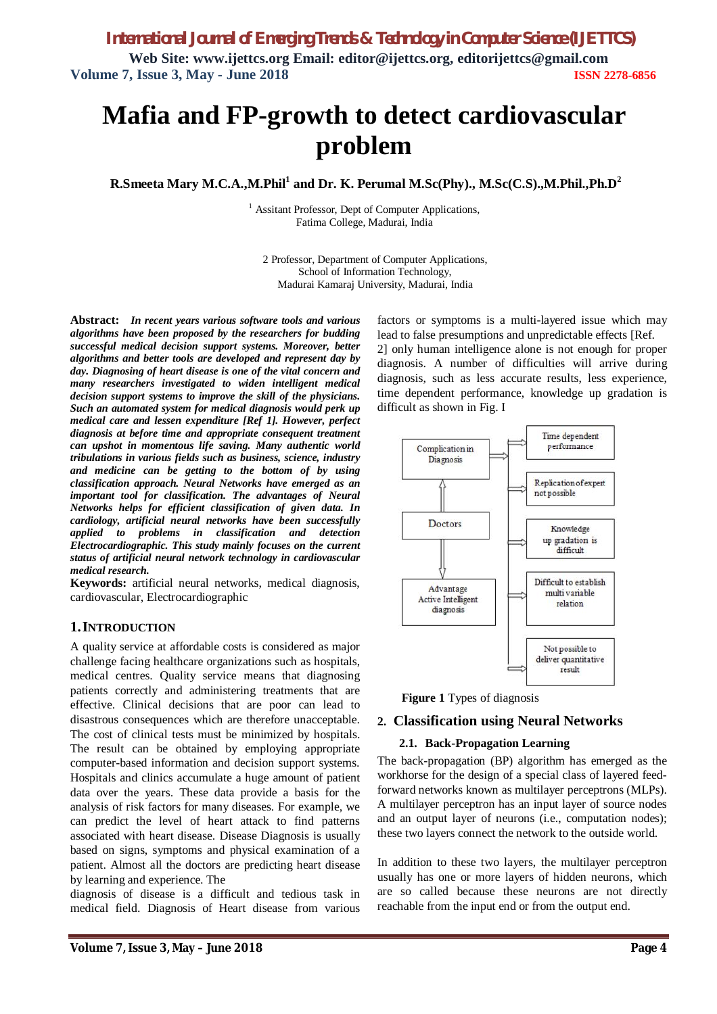**Web Site: www.ijettcs.org Email: editor@ijettcs.org, editorijettcs@gmail.com Volume 7, Issue 3, May - June 2018 ISSN 2278-6856**

# **Mafia and FP-growth to detect cardiovascular problem**

**R.Smeeta Mary M.C.A.,M.Phil<sup>1</sup> and Dr. K. Perumal M.Sc(Phy)., M.Sc(C.S).,M.Phil.,Ph.D<sup>2</sup>**

 $<sup>1</sup>$  Assitant Professor, Dept of Computer Applications,</sup> Fatima College, Madurai, India

2 Professor, Department of Computer Applications, School of Information Technology, Madurai Kamaraj University, Madurai, India

**Abstract:** *In recent years various software tools and various algorithms have been proposed by the researchers for budding successful medical decision support systems. Moreover, better algorithms and better tools are developed and represent day by day. Diagnosing of heart disease is one of the vital concern and many researchers investigated to widen intelligent medical decision support systems to improve the skill of the physicians. Such an automated system for medical diagnosis would perk up medical care and lessen expenditure [Ref 1]. However, perfect diagnosis at before time and appropriate consequent treatment can upshot in momentous life saving. Many authentic world tribulations in various fields such as business, science, industry and medicine can be getting to the bottom of by using classification approach. Neural Networks have emerged as an important tool for classification. The advantages of Neural Networks helps for efficient classification of given data. In cardiology, artificial neural networks have been successfully applied to problems in classification and detection Electrocardiographic. This study mainly focuses on the current status of artificial neural network technology in cardiovascular medical research.*

**Keywords:** artificial neural networks, medical diagnosis, cardiovascular, Electrocardiographic

## **1.INTRODUCTION**

A quality service at affordable costs is considered as major challenge facing healthcare organizations such as hospitals, medical centres. Quality service means that diagnosing patients correctly and administering treatments that are effective. Clinical decisions that are poor can lead to disastrous consequences which are therefore unacceptable. The cost of clinical tests must be minimized by hospitals. The result can be obtained by employing appropriate computer-based information and decision support systems. Hospitals and clinics accumulate a huge amount of patient data over the years. These data provide a basis for the analysis of risk factors for many diseases. For example, we can predict the level of heart attack to find patterns associated with heart disease. Disease Diagnosis is usually based on signs, symptoms and physical examination of a patient. Almost all the doctors are predicting heart disease by learning and experience. The

diagnosis of disease is a difficult and tedious task in medical field. Diagnosis of Heart disease from various

factors or symptoms is a multi-layered issue which may lead to false presumptions and unpredictable effects [Ref. 2] only human intelligence alone is not enough for proper diagnosis. A number of difficulties will arrive during diagnosis, such as less accurate results, less experience, time dependent performance, knowledge up gradation is difficult as shown in Fig. I



**Figure 1** Types of diagnosis

## **2. Classification using Neural Networks**

### **2.1. Back-Propagation Learning**

The back-propagation (BP) algorithm has emerged as the workhorse for the design of a special class of layered feedforward networks known as multilayer perceptrons (MLPs). A multilayer perceptron has an input layer of source nodes and an output layer of neurons (i.e., computation nodes); these two layers connect the network to the outside world.

In addition to these two layers, the multilayer perceptron usually has one or more layers of hidden neurons, which are so called because these neurons are not directly reachable from the input end or from the output end.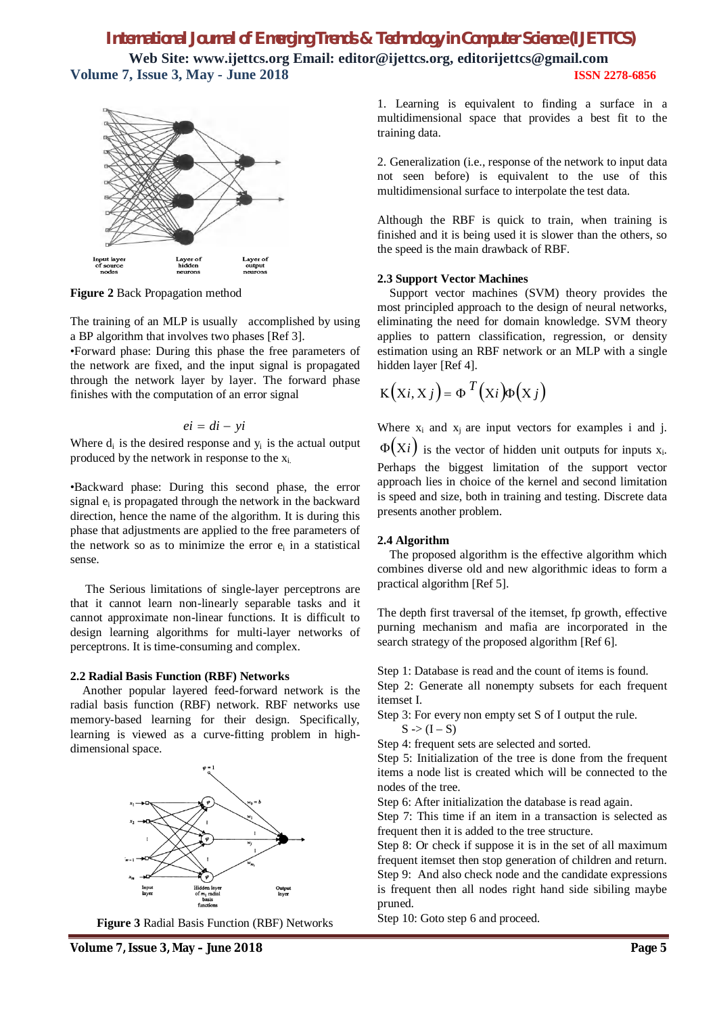## *International Journal of Emerging Trends & Technology in Computer Science (IJETTCS)* **Web Site: www.ijettcs.org Email: editor@ijettcs.org, editorijettcs@gmail.com**

**Volume 7, Issue 3, May - June 2018 ISSN 2278-6856**



**Figure 2** Back Propagation method

The training of an MLP is usually accomplished by using a BP algorithm that involves two phases [Ref 3].

•Forward phase: During this phase the free parameters of the network are fixed, and the input signal is propagated through the network layer by layer. The forward phase finishes with the computation of an error signal

$$
ei = di - yi
$$

Where  $d_i$  is the desired response and  $y_i$  is the actual output produced by the network in response to the xi.

•Backward phase: During this second phase, the error signal  $e_i$  is propagated through the network in the backward direction, hence the name of the algorithm. It is during this phase that adjustments are applied to the free parameters of the network so as to minimize the error  $e_i$  in a statistical sense.

The Serious limitations of single-layer perceptrons are that it cannot learn non-linearly separable tasks and it cannot approximate non-linear functions. It is difficult to design learning algorithms for multi-layer networks of perceptrons. It is time-consuming and complex.

### **2.2 Radial Basis Function (RBF) Networks**

Another popular layered feed-forward network is the radial basis function (RBF) network. RBF networks use memory-based learning for their design. Specifically, learning is viewed as a curve-fitting problem in highdimensional space.



**Figure 3** Radial Basis Function (RBF) Networks

1. Learning is equivalent to finding a surface in a multidimensional space that provides a best fit to the training data.

2. Generalization (i.e., response of the network to input data not seen before) is equivalent to the use of this multidimensional surface to interpolate the test data.

Although the RBF is quick to train, when training is finished and it is being used it is slower than the others, so the speed is the main drawback of RBF.

## **2.3 Support Vector Machines**

Support vector machines (SVM) theory provides the most principled approach to the design of neural networks, eliminating the need for domain knowledge. SVM theory applies to pattern classification, regression, or density estimation using an RBF network or an MLP with a single hidden layer [Ref 4].

$$
K(Xi, X j) = \Phi^{T}(X i) \Phi(X j)
$$

Where  $x_i$  and  $x_i$  are input vectors for examples i and j.  $\Phi(X_i)$  is the vector of hidden unit outputs for inputs  $x_i$ . Perhaps the biggest limitation of the support vector approach lies in choice of the kernel and second limitation is speed and size, both in training and testing. Discrete data presents another problem.

## **2.4 Algorithm**

The proposed algorithm is the effective algorithm which combines diverse old and new algorithmic ideas to form a practical algorithm [Ref 5].

The depth first traversal of the itemset, fp growth, effective purning mechanism and mafia are incorporated in the search strategy of the proposed algorithm [Ref 6].

Step 1: Database is read and the count of items is found.

Step 2: Generate all nonempty subsets for each frequent itemset I.

Step 3: For every non empty set S of I output the rule.

 $S \gg (I - S)$ 

Step 4: frequent sets are selected and sorted.

Step 5: Initialization of the tree is done from the frequent items a node list is created which will be connected to the nodes of the tree.

Step 6: After initialization the database is read again.

Step 7: This time if an item in a transaction is selected as frequent then it is added to the tree structure.

Step 8: Or check if suppose it is in the set of all maximum frequent itemset then stop generation of children and return. Step 9: And also check node and the candidate expressions is frequent then all nodes right hand side sibiling maybe pruned.

Step 10: Goto step 6 and proceed.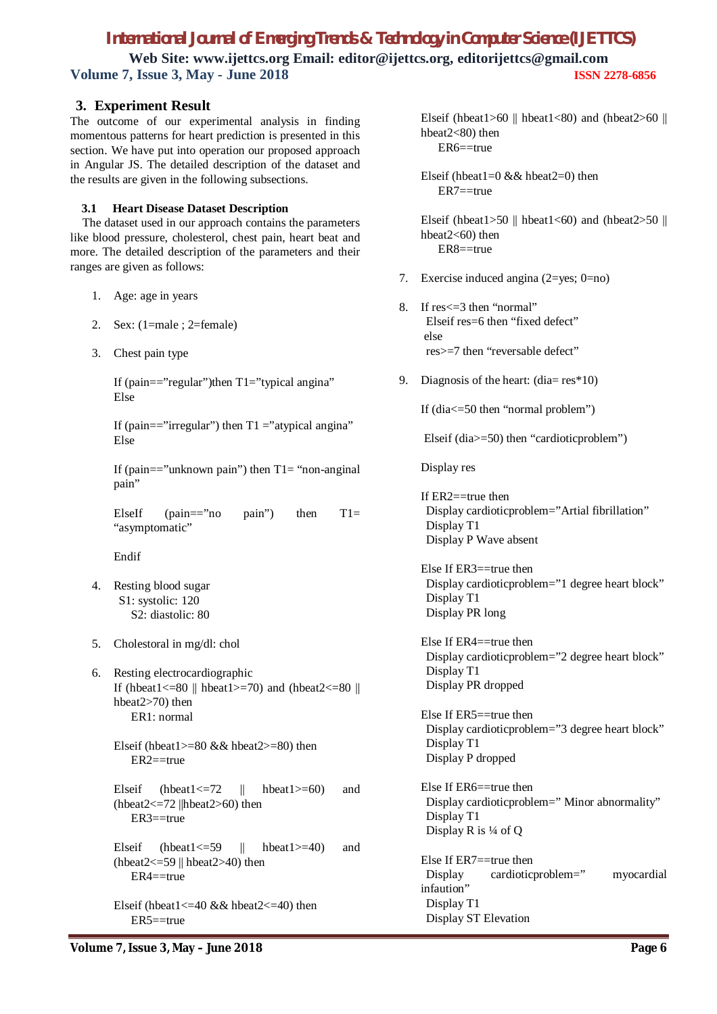## *International Journal of Emerging Trends & Technology in Computer Science (IJETTCS)*

**Web Site: www.ijettcs.org Email: editor@ijettcs.org, editorijettcs@gmail.com Volume 7, Issue 3, May - June 2018 ISSN 2278-6856**

## **3. Experiment Result**

The outcome of our experimental analysis in finding momentous patterns for heart prediction is presented in this section. We have put into operation our proposed approach in Angular JS. The detailed description of the dataset and the results are given in the following subsections.

## **3.1 Heart Disease Dataset Description**

The dataset used in our approach contains the parameters like blood pressure, cholesterol, chest pain, heart beat and more. The detailed description of the parameters and their ranges are given as follows:

- 1. Age: age in years
- 2. Sex: (1=male ; 2=female)
- 3. Chest pain type

If (pain=="regular")then  $T1$ ="typical angina" Else

If (pain=="irregular") then  $T1$  ="atypical angina" Else

If (pain=="unknown pain") then  $T1$ = "non-anginal pain"

ElseIf (pain=="no pain") then  $T1=$ "asymptomatic"

Endif

- 4. Resting blood sugar S1: systolic: 120 S2: diastolic: 80
- 5. Cholestoral in mg/dl: chol
- 6. Resting electrocardiographic If (hbeat1  $\leq$  =80 || hbeat1  $>$  =70) and (hbeat2  $\leq$  =80 || hbeat2>70) then ER1: normal
	- Elseif (hbeat1 $>=80$  && hbeat2 $>=80$ ) then  $ER2 = true$
	- Elseif (hbeat1 $\leq$ =72 || hbeat1 $\geq$ =60) and (hbeat $2 \le -72$  ||hbeat $2 \ge 60$ ) then ER3==true

Elseif (hbeat1 $\leq$ =59 || hbeat1 $\geq$ =40) and (hbeat $2 \leq -59$  || hbeat $2 \geq 40$ ) then ER4==true

Elseif (hbeat $1 \leq -40$  && hbeat $2 \leq -40$ ) then ER5==true

Elseif (hbeat1>60 || hbeat1<80) and (hbeat2>60 || hbeat2<80) then ER6==true

Elseif (hbeat $1=0$  && hbeat $2=0$ ) then  $ER7 = true$ 

Elseif (hbeat1>50 || hbeat1<60) and (hbeat2>50 || hbeat2<60) then ER8==true

- 7. Exercise induced angina (2=yes; 0=no)
- 8. If res<=3 then "normal" Elseif res=6 then "fixed defect" else res>=7 then "reversable defect"
- 9. Diagnosis of the heart:  $(dia = res^*10)$

If (dia<=50 then "normal problem")

Elseif (dia>=50) then "cardioticproblem")

Display res

If  $ER2 = true$  then Display cardioticproblem="Artial fibrillation" Display T1 Display P Wave absent

Else If ER3==true then Display cardioticproblem="1 degree heart block" Display T1 Display PR long

Else If ER4==true then Display cardioticproblem="2 degree heart block" Display T1 Display PR dropped

Else If ER5==true then Display cardioticproblem="3 degree heart block" Display T1 Display P dropped

Else If ER6==true then Display cardioticproblem=" Minor abnormality" Display T1 Display R is ¼ of Q

Else If ER7==true then Display cardioticproblem=" myocardial infaution" Display T1 Display ST Elevation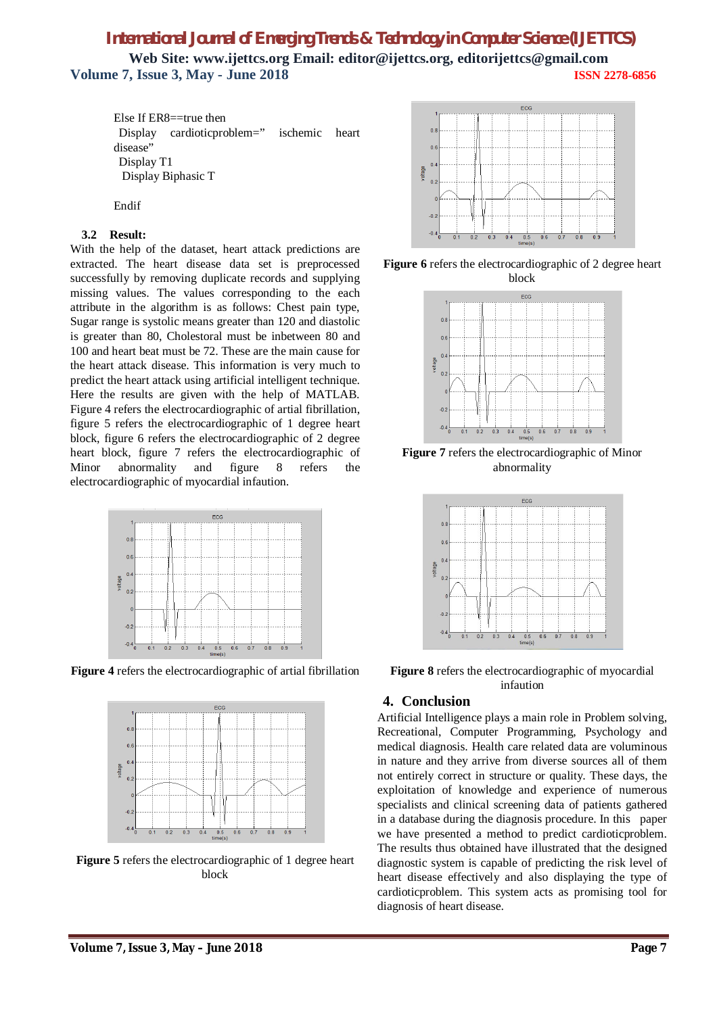## *International Journal of Emerging Trends & Technology in Computer Science (IJETTCS)* **Web Site: www.ijettcs.org Email: editor@ijettcs.org, editorijettcs@gmail.com Volume 7, Issue 3, May - June 2018 ISSN 2278-6856**

Else If ER8==true then Display cardioticproblem=" ischemic heart disease" Display T1 Display Biphasic T

Endif

#### **3.2 Result:**

With the help of the dataset, heart attack predictions are extracted. The heart disease data set is preprocessed successfully by removing duplicate records and supplying missing values. The values corresponding to the each attribute in the algorithm is as follows: Chest pain type, Sugar range is systolic means greater than 120 and diastolic is greater than 80, Cholestoral must be inbetween 80 and 100 and heart beat must be 72. These are the main cause for the heart attack disease. This information is very much to predict the heart attack using artificial intelligent technique. Here the results are given with the help of MATLAB. Figure 4 refers the electrocardiographic of artial fibrillation, figure 5 refers the electrocardiographic of 1 degree heart block, figure 6 refers the electrocardiographic of 2 degree heart block, figure 7 refers the electrocardiographic of Minor abnormality and figure 8 refers the electrocardiographic of myocardial infaution.



**Figure 4** refers the electrocardiographic of artial fibrillation



**Figure 5** refers the electrocardiographic of 1 degree heart block



**Figure 6** refers the electrocardiographic of 2 degree heart block



**Figure 7** refers the electrocardiographic of Minor abnormality



**Figure 8** refers the electrocardiographic of myocardial infaution

## **4. Conclusion**

Artificial Intelligence plays a main role in Problem solving, Recreational, Computer Programming, Psychology and medical diagnosis. Health care related data are voluminous in nature and they arrive from diverse sources all of them not entirely correct in structure or quality. These days, the exploitation of knowledge and experience of numerous specialists and clinical screening data of patients gathered in a database during the diagnosis procedure. In this paper we have presented a method to predict cardioticproblem. The results thus obtained have illustrated that the designed diagnostic system is capable of predicting the risk level of heart disease effectively and also displaying the type of cardioticproblem. This system acts as promising tool for diagnosis of heart disease.